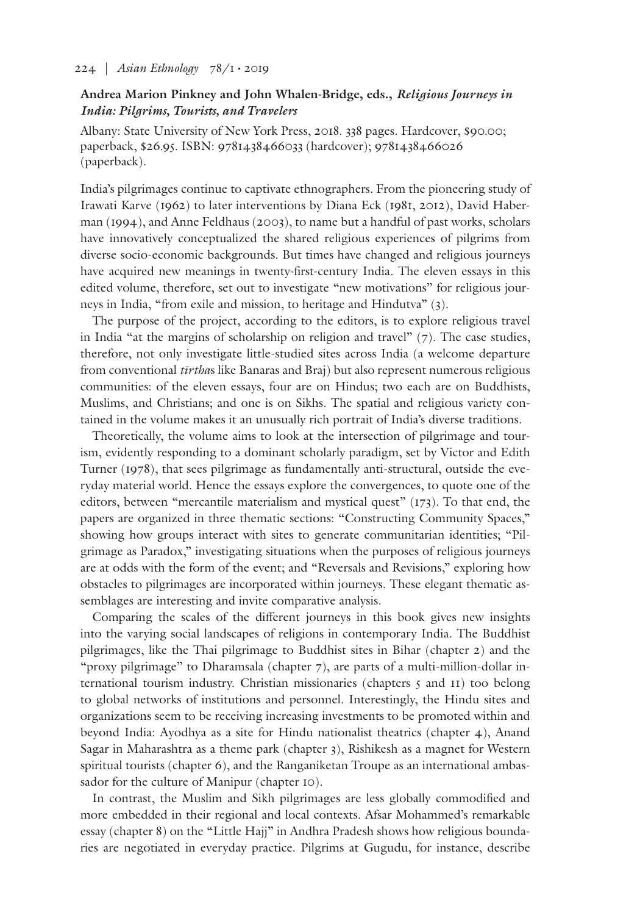## 224 | *Asian Ethnology* 78/1 • 2019

## **Andrea Marion Pinkney and John Whalen-Bridge, eds.,** *Religious Journeys in India: Pilgrims, Tourists, and Travelers*

Albany: State University of New York Press, 2018. 338 pages. Hardcover, \$90.00; paperback, \$26.95. ISBN: 9781438466033 (hardcover); 9781438466026 (paperback).

India's pilgrimages continue to captivate ethnographers. From the pioneering study of Irawati Karve (1962) to later interventions by Diana Eck (1981, 2012), David Haberman (1994), and Anne Feldhaus (2003), to name but a handful of past works, scholars have innovatively conceptualized the shared religious experiences of pilgrims from diverse socio-economic backgrounds. But times have changed and religious journeys have acquired new meanings in twenty-first-century India. The eleven essays in this edited volume, therefore, set out to investigate "new motivations" for religious journeys in India, "from exile and mission, to heritage and Hindutva" (3).

The purpose of the project, according to the editors, is to explore religious travel in India "at the margins of scholarship on religion and travel"  $(7)$ . The case studies, therefore, not only investigate little-studied sites across India (a welcome departure from conventional *tīrtha*s like Banaras and Braj) but also represent numerous religious communities: of the eleven essays, four are on Hindus; two each are on Buddhists, Muslims, and Christians; and one is on Sikhs. The spatial and religious variety contained in the volume makes it an unusually rich portrait of India's diverse traditions.

Theoretically, the volume aims to look at the intersection of pilgrimage and tourism, evidently responding to a dominant scholarly paradigm, set by Victor and Edith Turner (1978), that sees pilgrimage as fundamentally anti-structural, outside the everyday material world. Hence the essays explore the convergences, to quote one of the editors, between "mercantile materialism and mystical quest" (173). To that end, the papers are organized in three thematic sections: "Constructing Community Spaces," showing how groups interact with sites to generate communitarian identities; "Pilgrimage as Paradox," investigating situations when the purposes of religious journeys are at odds with the form of the event; and "Reversals and Revisions," exploring how obstacles to pilgrimages are incorporated within journeys. These elegant thematic assemblages are interesting and invite comparative analysis.

Comparing the scales of the different journeys in this book gives new insights into the varying social landscapes of religions in contemporary India. The Buddhist pilgrimages, like the Thai pilgrimage to Buddhist sites in Bihar (chapter 2) and the "proxy pilgrimage" to Dharamsala (chapter 7), are parts of a multi-million-dollar international tourism industry. Christian missionaries (chapters 5 and 11) too belong to global networks of institutions and personnel. Interestingly, the Hindu sites and organizations seem to be receiving increasing investments to be promoted within and beyond India: Ayodhya as a site for Hindu nationalist theatrics (chapter 4), Anand Sagar in Maharashtra as a theme park (chapter 3), Rishikesh as a magnet for Western spiritual tourists (chapter 6), and the Ranganiketan Troupe as an international ambassador for the culture of Manipur (chapter 10).

In contrast, the Muslim and Sikh pilgrimages are less globally commodified and more embedded in their regional and local contexts. Afsar Mohammed's remarkable essay (chapter 8) on the "Little Hajj" in Andhra Pradesh shows how religious boundaries are negotiated in everyday practice. Pilgrims at Gugudu, for instance, describe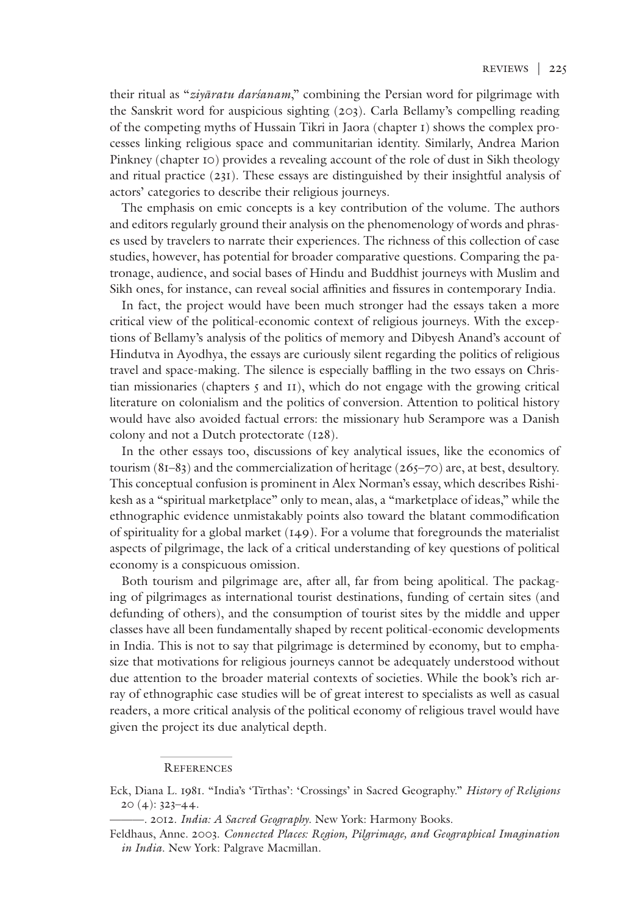their ritual as "*ziyāratu darśanam*," combining the Persian word for pilgrimage with the Sanskrit word for auspicious sighting (203). Carla Bellamy's compelling reading of the competing myths of Hussain Tikri in Jaora (chapter 1) shows the complex processes linking religious space and communitarian identity. Similarly, Andrea Marion Pinkney (chapter 10) provides a revealing account of the role of dust in Sikh theology and ritual practice (231). These essays are distinguished by their insightful analysis of actors' categories to describe their religious journeys.

The emphasis on emic concepts is a key contribution of the volume. The authors and editors regularly ground their analysis on the phenomenology of words and phrases used by travelers to narrate their experiences. The richness of this collection of case studies, however, has potential for broader comparative questions. Comparing the patronage, audience, and social bases of Hindu and Buddhist journeys with Muslim and Sikh ones, for instance, can reveal social affinities and fissures in contemporary India.

In fact, the project would have been much stronger had the essays taken a more critical view of the political-economic context of religious journeys. With the exceptions of Bellamy's analysis of the politics of memory and Dibyesh Anand's account of Hindutva in Ayodhya, the essays are curiously silent regarding the politics of religious travel and space-making. The silence is especially baffling in the two essays on Christian missionaries (chapters  $\zeta$  and  $\zeta$ ), which do not engage with the growing critical literature on colonialism and the politics of conversion. Attention to political history would have also avoided factual errors: the missionary hub Serampore was a Danish colony and not a Dutch protectorate (128).

In the other essays too, discussions of key analytical issues, like the economics of tourism (81–83) and the commercialization of heritage (265–70) are, at best, desultory. This conceptual confusion is prominent in Alex Norman's essay, which describes Rishikesh as a "spiritual marketplace" only to mean, alas, a "marketplace of ideas," while the ethnographic evidence unmistakably points also toward the blatant commodification of spirituality for a global market (149). For a volume that foregrounds the materialist aspects of pilgrimage, the lack of a critical understanding of key questions of political economy is a conspicuous omission.

Both tourism and pilgrimage are, after all, far from being apolitical. The packaging of pilgrimages as international tourist destinations, funding of certain sites (and defunding of others), and the consumption of tourist sites by the middle and upper classes have all been fundamentally shaped by recent political-economic developments in India. This is not to say that pilgrimage is determined by economy, but to emphasize that motivations for religious journeys cannot be adequately understood without due attention to the broader material contexts of societies. While the book's rich array of ethnographic case studies will be of great interest to specialists as well as casual readers, a more critical analysis of the political economy of religious travel would have given the project its due analytical depth.

## **REFERENCES**

Eck, Diana L. 1981. "India's 'Tīrthas': 'Crossings' in Sacred Geography." *History of Religions* 20 (4): 323–44.

<sup>———. 2012.</sup> *India: A Sacred Geography*. New York: Harmony Books.

Feldhaus, Anne. 2003. *Connected Places: Region, Pilgrimage, and Geographical Imagination in India*. New York: Palgrave Macmillan.